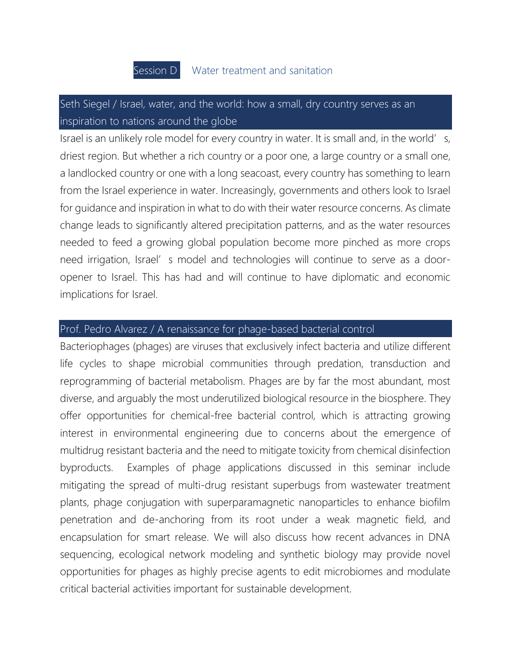

## Seth Siegel / Israel, water, and the world: how a small, dry country serves as an inspiration to nations around the globe

Israel is an unlikely role model for every country in water. It is small and, in the world' s, driest region. But whether a rich country or a poor one, a large country or a small one, a landlocked country or one with a long seacoast, every country has something to learn from the Israel experience in water. Increasingly, governments and others look to Israel for guidance and inspiration in what to do with their water resource concerns. As climate change leads to significantly altered precipitation patterns, and as the water resources needed to feed a growing global population become more pinched as more crops need irrigation, Israel's model and technologies will continue to serve as a dooropener to Israel. This has had and will continue to have diplomatic and economic implications for Israel.

## Prof. Pedro Alvarez / A renaissance for phage-based bacterial control

Bacteriophages (phages) are viruses that exclusively infect bacteria and utilize different life cycles to shape microbial communities through predation, transduction and reprogramming of bacterial metabolism. Phages are by far the most abundant, most diverse, and arguably the most underutilized biological resource in the biosphere. They offer opportunities for chemical-free bacterial control, which is attracting growing interest in environmental engineering due to concerns about the emergence of multidrug resistant bacteria and the need to mitigate toxicity from chemical disinfection byproducts. Examples of phage applications discussed in this seminar include mitigating the spread of multi-drug resistant superbugs from wastewater treatment plants, phage conjugation with superparamagnetic nanoparticles to enhance biofilm penetration and de-anchoring from its root under a weak magnetic field, and encapsulation for smart release. We will also discuss how recent advances in DNA sequencing, ecological network modeling and synthetic biology may provide novel opportunities for phages as highly precise agents to edit microbiomes and modulate critical bacterial activities important for sustainable development.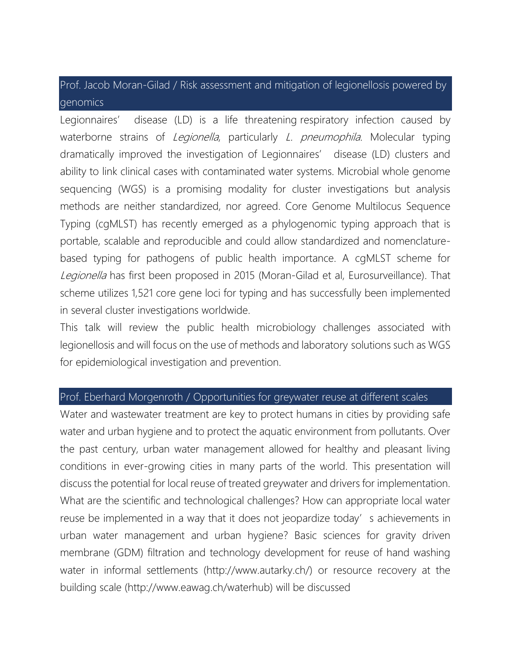Prof. Jacob Moran-Gilad / Risk assessment and mitigation of legionellosis powered by genomics

Legionnaires' disease (LD) is a life threatening respiratory infection caused by waterborne strains of Legionella, particularly L. pneumophila. Molecular typing dramatically improved the investigation of Legionnaires' disease (LD) clusters and ability to link clinical cases with contaminated water systems. Microbial whole genome sequencing (WGS) is a promising modality for cluster investigations but analysis methods are neither standardized, nor agreed. Core Genome Multilocus Sequence Typing (cgMLST) has recently emerged as a phylogenomic typing approach that is portable, scalable and reproducible and could allow standardized and nomenclaturebased typing for pathogens of public health importance. A cgMLST scheme for Legionella has first been proposed in 2015 (Moran-Gilad et al, Eurosurveillance). That scheme utilizes 1,521 core gene loci for typing and has successfully been implemented in several cluster investigations worldwide.

This talk will review the public health microbiology challenges associated with legionellosis and will focus on the use of methods and laboratory solutions such as WGS for epidemiological investigation and prevention.

## Prof. Eberhard Morgenroth / Opportunities for greywater reuse at different scales

Water and wastewater treatment are key to protect humans in cities by providing safe water and urban hygiene and to protect the aquatic environment from pollutants. Over the past century, urban water management allowed for healthy and pleasant living conditions in ever-growing cities in many parts of the world. This presentation will discuss the potential for local reuse of treated greywater and drivers for implementation. What are the scientific and technological challenges? How can appropriate local water reuse be implemented in a way that it does not jeopardize today's achievements in urban water management and urban hygiene? Basic sciences for gravity driven membrane (GDM) filtration and technology development for reuse of hand washing water in informal settlements (http://www.autarky.ch/) or resource recovery at the building scale (http://www.eawag.ch/waterhub) will be discussed